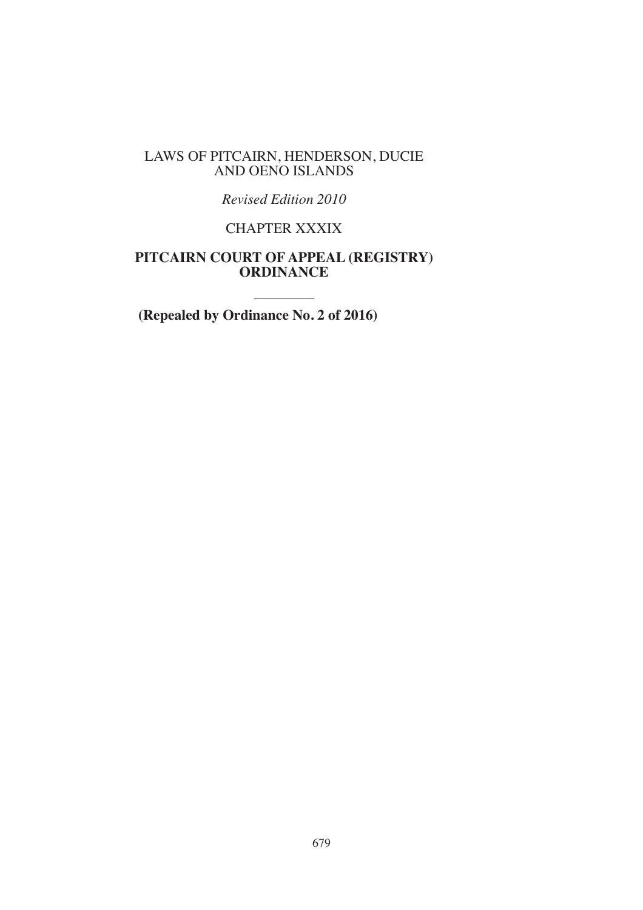# LAWS OF PITCAIRN, HENDERSON, DUCIE AND OENO ISLANDS

# *Revised Edition 2010*

# CHAPTER XXXIX

# **PITCAIRN COURT OF APPEAL (REGISTRY) ORDINANCE**

**(Repealed by Ordinance No. 2 of 2016)**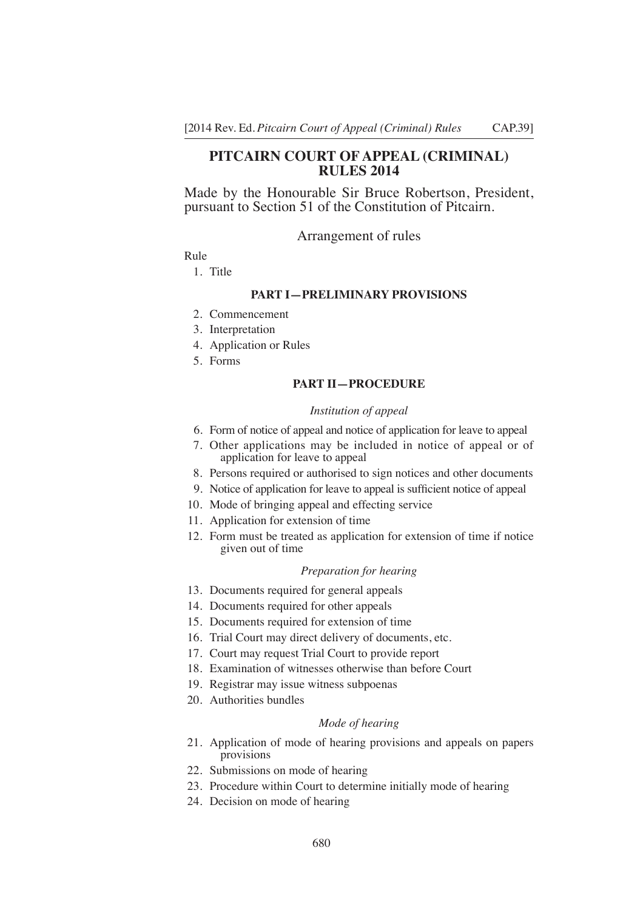## **PITCAIRN COURT OF APPEAL (CRIMINAL) RULES 2014**

Made by the Honourable Sir Bruce Robertson, President, pursuant to Section 51 of the Constitution of Pitcairn.

## Arrangement of rules

Rule

1. Title

## **PART I—PRELIMINARY PROVISIONS**

- 2. Commencement
- 3. Interpretation
- 4. Application or Rules
- 5. Forms

## **PART II—PROCEDURE**

### *Institution of appeal*

- 6. Form of notice of appeal and notice of application for leave to appeal
- 7. Other applications may be included in notice of appeal or of application for leave to appeal
- 8. Persons required or authorised to sign notices and other documents
- . Notice of application for leave to appeal is suffcient notice of appeal
- 10. Mode of bringing appeal and effecting service
- 11. Application for extension of time
- 12. Form must be treated as application for extension of time if notice given out of time

#### *Preparation for hearing*

- 13. Documents required for general appeals
- 14. Documents required for other appeals
- 15. Documents required for extension of time
- 16. Trial Court may direct delivery of documents, etc.
- 17. Court may request Trial Court to provide report
- 18. Examination of witnesses otherwise than before Court
- 19. Registrar may issue witness subpoenas
- 20. Authorities bundles

#### *Mode of hearing*

- 21. Application of mode of hearing provisions and appeals on papers provisions
- 22. Submissions on mode of hearing
- 23. Procedure within Court to determine initially mode of hearing
- 24. Decision on mode of hearing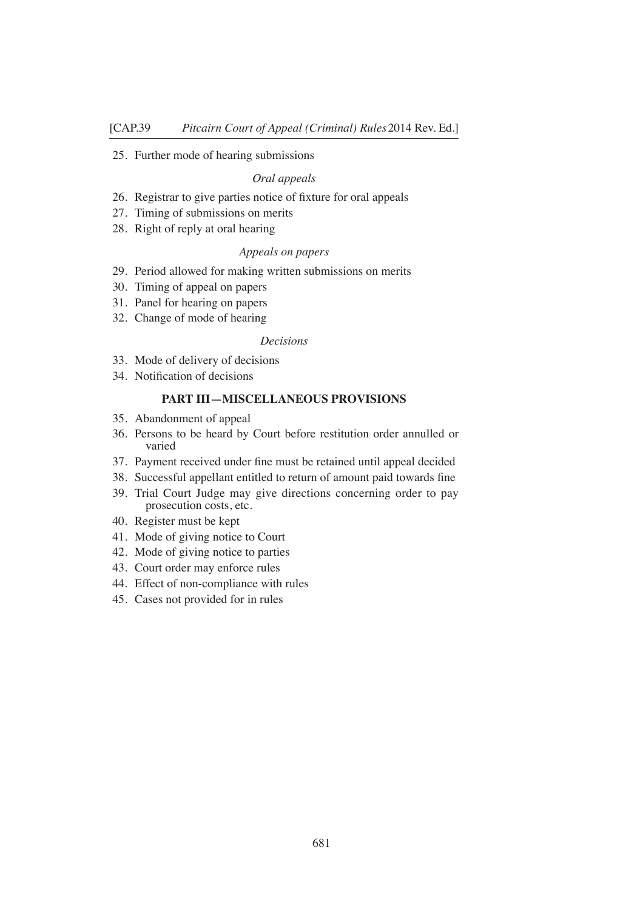### 25. Further mode of hearing submissions

### *Oral appeals*

- 26. Registrar to give parties notice of fixture for oral appeals
- 27. Timing of submissions on merits
- 28. Right of reply at oral hearing

### *Appeals on papers*

- 29. Period allowed for making written submissions on merits
- 30. Timing of appeal on papers
- 31. Panel for hearing on papers
- 32. Change of mode of hearing

#### *Decisions*

- 33. Mode of delivery of decisions
- 4. Notifcation of decisions

## **PART III—MISCELLANEOUS PROVISIONS**

- 35. Abandonment of appeal
- 36. Persons to be heard by Court before restitution order annulled or varied
- 37. Payment received under fine must be retained until appeal decided
- 38. Successful appellant entitled to return of amount paid towards fine
- 39. Trial Court Judge may give directions concerning order to pay prosecution costs, etc.
- 40. Register must be kept
- 41. Mode of giving notice to Court
- 42. Mode of giving notice to parties
- 43. Court order may enforce rules
- 44. Effect of non-compliance with rules
- 45. Cases not provided for in rules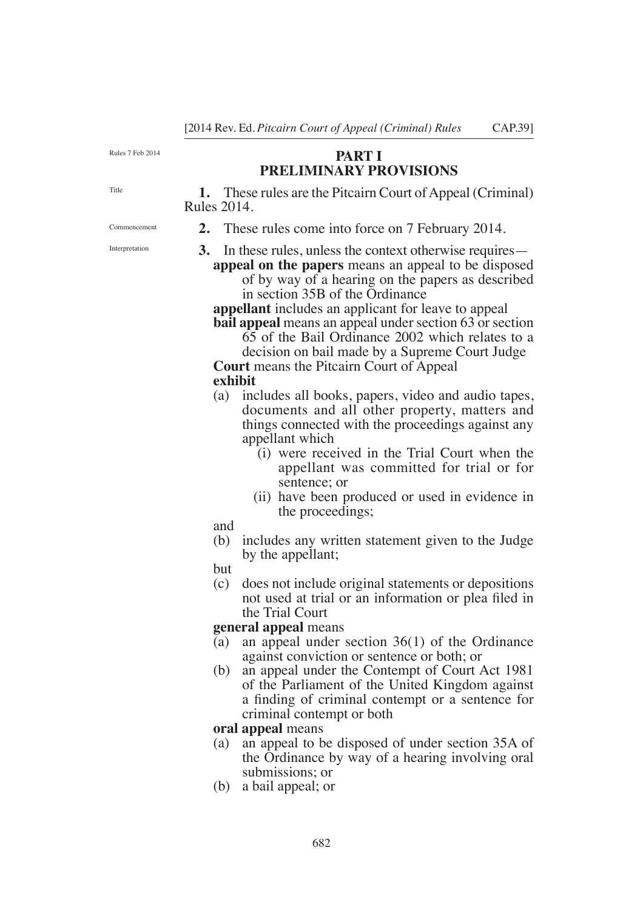Rules 7 Feb 2014

# **PART I PRELIMINARY PROVISIONS**

**1.** These rules are the Pitcairn Court of Appeal (Criminal) Rules 2014.

**2.** These rules come into force on 7 February 2014.

**3.** In these rules, unless the context otherwise requires—

**appeal on the papers** means an appeal to be disposed of by way of a hearing on the papers as described in section 35B of the Ordinance

**appellant** includes an applicant for leave to appeal **bail appeal** means an appeal under section 63 or section

65 of the Bail Ordinance 2002 which relates to a decision on bail made by a Supreme Court Judge

**Court** means the Pitcairn Court of Appeal **exhibit** 

- (a) includes all books, papers, video and audio tapes, documents and all other property, matters and things connected with the proceedings against any appellant which
	- (i) were received in the Trial Court when the appellant was committed for trial or for sentence; or
	- (ii) have been produced or used in evidence in the proceedings;
- and
- (b) includes any written statement given to the Judge by the appellant;
- but
- (c) does not include original statements or depositions not used at trial or an information or plea filed in the Trial Court

**general appeal** means

- (a) an appeal under section 36(1) of the Ordinance against conviction or sentence or both; or
- (b) an appeal under the Contempt of Court Act 1981 of the Parliament of the United Kingdom against a finding of criminal contempt or a sentence for criminal contempt or both

## **oral appeal** means

- (a) an appeal to be disposed of under section 35A of the Ordinance by way of a hearing involving oral submissions; or
- (b) a bail appeal; or

Commencement

Title

Interpretation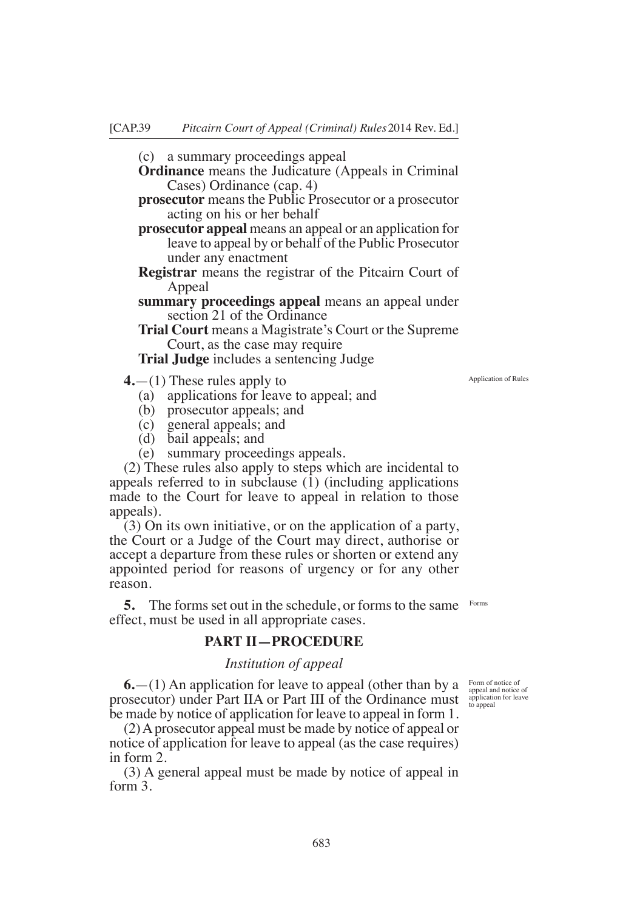- (c) a summary proceedings appeal
- **Ordinance** means the Judicature (Appeals in Criminal Cases) Ordinance (cap. 4)
- **prosecutor** means the Public Prosecutor or a prosecutor acting on his or her behalf
- **prosecutor appeal** means an appeal or an application for leave to appeal by or behalf of the Public Prosecutor under any enactment
- **Registrar** means the registrar of the Pitcairn Court of Appeal
- **summary proceedings appeal** means an appeal under section 21 of the Ordinance

**Trial Court** means a Magistrate's Court or the Supreme Court, as the case may require

**Trial Judge** includes a sentencing Judge

- **4.**—(1) These rules apply to
	- (a) applications for leave to appeal; and
	- (b) prosecutor appeals; and
	- (c) general appeals; and
	- (d) bail appeals; and
	- (e) summary proceedings appeals.

(2) These rules also apply to steps which are incidental to appeals referred to in subclause (1) (including applications made to the Court for leave to appeal in relation to those appeals).

(3) On its own initiative, or on the application of a party, the Court or a Judge of the Court may direct, authorise or accept a departure from these rules or shorten or extend any appointed period for reasons of urgency or for any other reason.

**5.** The forms set out in the schedule, or forms to the same Forms effect, must be used in all appropriate cases.

## **PART II—PROCEDURE**

## *Institution of appeal*

**6.**—(1) An application for leave to appeal (other than by a  $\frac{1}{\text{append and notice of}}$ prosecutor) under Part IIA or Part III of the Ordinance must be made by notice of application for leave to appeal in form 1.

(2) A prosecutor appeal must be made by notice of appeal or notice of application for leave to appeal (as the case requires) in form 2.

(3) A general appeal must be made by notice of appeal in form 3.

appeal and notice of application for leave to appeal

Application of Rules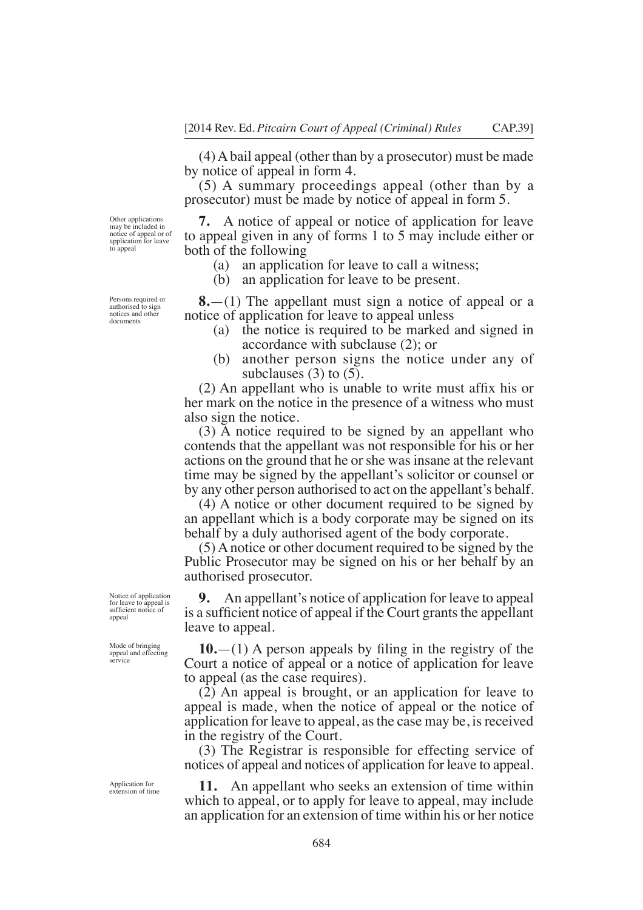(4) A bail appeal (other than by a prosecutor) must be made by notice of appeal in form 4.

(5) A summary proceedings appeal (other than by a prosecutor) must be made by notice of appeal in form 5.

**7.** A notice of appeal or notice of application for leave to appeal given in any of forms 1 to 5 may include either or both of the following

(a) an application for leave to call a witness;

(b) an application for leave to be present.

**8.**—(1) The appellant must sign a notice of appeal or a notice of application for leave to appeal unless

- (a) the notice is required to be marked and signed in accordance with subclause (2); or
- (b) another person signs the notice under any of subclauses  $(3)$  to  $(5)$ .

 $(2)$  An appellant who is unable to write must affix his or her mark on the notice in the presence of a witness who must also sign the notice.

(3) A notice required to be signed by an appellant who contends that the appellant was not responsible for his or her actions on the ground that he or she was insane at the relevant time may be signed by the appellant's solicitor or counsel or by any other person authorised to act on the appellant's behalf.

(4) A notice or other document required to be signed by an appellant which is a body corporate may be signed on its behalf by a duly authorised agent of the body corporate.

(5) A notice or other document required to be signed by the Public Prosecutor may be signed on his or her behalf by an authorised prosecutor.

**9.** An appellant's notice of application for leave to appeal is a sufficient notice of appeal if the Court grants the appellant leave to appeal.

**10.**—(1) A person appeals by filing in the registry of the Court a notice of appeal or a notice of application for leave to appeal (as the case requires).

(2) An appeal is brought, or an application for leave to appeal is made, when the notice of appeal or the notice of application for leave to appeal, as the case may be, is received in the registry of the Court.

(3) The Registrar is responsible for effecting service of notices of appeal and notices of application for leave to appeal.

**11.** An appellant who seeks an extension of time within which to appeal, or to apply for leave to appeal, may include an application for an extension of time within his or her notice

Other applications may be included in notice of appeal or of application for leave to appeal

Persons required or authorised to sign notices and other documents

Notice of application for leave to appeal is suffcient notice of appeal

Mode of bringing appeal and effecting . .<br>•rvice

Application for extension of time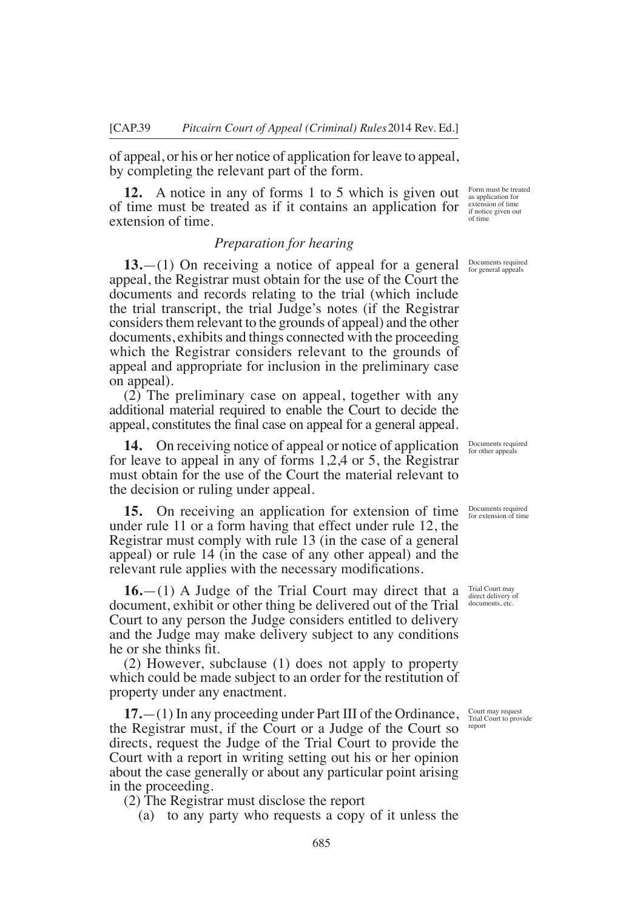of appeal, or his or her notice of application for leave to appeal, by completing the relevant part of the form.

**12.** A notice in any of forms 1 to 5 which is given out of time must be treated as if it contains an application for extension of time.

## *Preparation for hearing*

**13.**—(1) On receiving a notice of appeal for a general appeal, the Registrar must obtain for the use of the Court the documents and records relating to the trial (which include the trial transcript, the trial Judge's notes (if the Registrar considers them relevant to the grounds of appeal) and the other documents, exhibits and things connected with the proceeding which the Registrar considers relevant to the grounds of appeal and appropriate for inclusion in the preliminary case on appeal).

(2) The preliminary case on appeal, together with any additional material required to enable the Court to decide the appeal, constitutes the final case on appeal for a general appeal.

**14.** On receiving notice of appeal or notice of application for leave to appeal in any of forms 1,2,4 or 5, the Registrar must obtain for the use of the Court the material relevant to the decision or ruling under appeal.

**15.** On receiving an application for extension of time under rule 11 or a form having that effect under rule 12, the Registrar must comply with rule 13 (in the case of a general appeal) or rule 14 (in the case of any other appeal) and the relevant rule applies with the necessary modifications.

**16.**—(1) A Judge of the Trial Court may direct that a document, exhibit or other thing be delivered out of the Trial Court to any person the Judge considers entitled to delivery and the Judge may make delivery subject to any conditions he or she thinks fit.

(2) However, subclause (1) does not apply to property which could be made subject to an order for the restitution of property under any enactment.

**17.**—(1) In any proceeding under Part III of the Ordinance, the Registrar must, if the Court or a Judge of the Court so directs, request the Judge of the Trial Court to provide the Court with a report in writing setting out his or her opinion about the case generally or about any particular point arising in the proceeding.

(2) The Registrar must disclose the report

(a) to any party who requests a copy of it unless the

Form must be treated as application for extension of time if notice given out of time

Documents required for general appeals

Documents required for other appeals

Documents required for extension of time

Trial Court may direct delivery of documents, etc.

Court may request Trial Court to provide report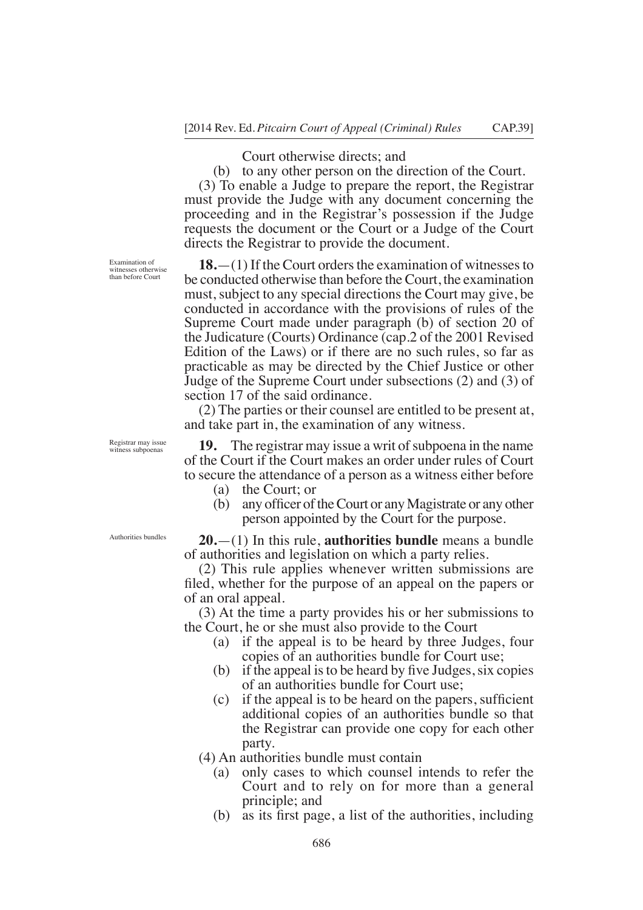## Court otherwise directs; and

(b) to any other person on the direction of the Court.

(3) To enable a Judge to prepare the report, the Registrar must provide the Judge with any document concerning the proceeding and in the Registrar's possession if the Judge requests the document or the Court or a Judge of the Court directs the Registrar to provide the document.

**18.**—(1) If the Court orders the examination of witnesses to be conducted otherwise than before the Court, the examination must, subject to any special directions the Court may give, be conducted in accordance with the provisions of rules of the Supreme Court made under paragraph (b) of section 20 of the Judicature (Courts) Ordinance (cap.2 of the 2001 Revised Edition of the Laws) or if there are no such rules, so far as practicable as may be directed by the Chief Justice or other Judge of the Supreme Court under subsections (2) and (3) of section 17 of the said ordinance.

(2) The parties or their counsel are entitled to be present at, and take part in, the examination of any witness.

**19.** The registrar may issue a writ of subpoena in the name of the Court if the Court makes an order under rules of Court to secure the attendance of a person as a witness either before

- (a) the Court; or
- (b) any officer of the Court or any Magistrate or any other person appointed by the Court for the purpose.

**20.**—(1) In this rule, **authorities bundle** means a bundle of authorities and legislation on which a party relies.

(2) This rule applies whenever written submissions are filed, whether for the purpose of an appeal on the papers or of an oral appeal.

(3) At the time a party provides his or her submissions to the Court, he or she must also provide to the Court

- (a) if the appeal is to be heard by three Judges, four copies of an authorities bundle for Court use;
- (b) if the appeal is to be heard by five Judges, six copies of an authorities bundle for Court use;
- $(c)$  if the appeal is to be heard on the papers, sufficient additional copies of an authorities bundle so that the Registrar can provide one copy for each other party.
- (4) An authorities bundle must contain
	- (a) only cases to which counsel intends to refer the Court and to rely on for more than a general principle; and
	- (b) as its first page, a list of the authorities, including

Examination of witnesses otherwise than before Court

Authorities bundles

Registrar may issue witness subpoenas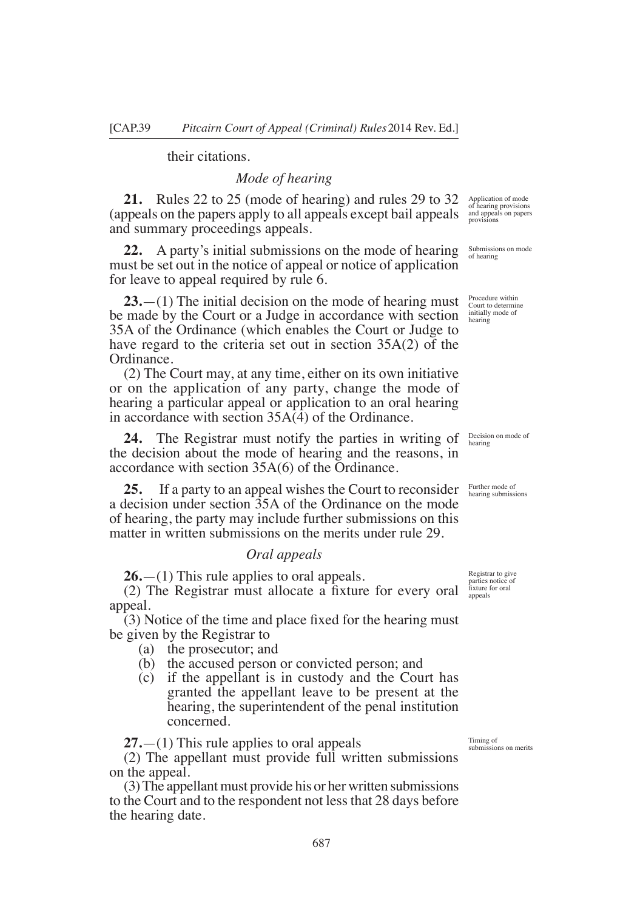their citations.

## *Mode of hearing*

**21.** Rules 22 to 25 (mode of hearing) and rules 29 to 32 (appeals on the papers apply to all appeals except bail appeals and summary proceedings appeals.

**22.** A party's initial submissions on the mode of hearing must be set out in the notice of appeal or notice of application for leave to appeal required by rule 6.

**23.**—(1) The initial decision on the mode of hearing must be made by the Court or a Judge in accordance with section 35A of the Ordinance (which enables the Court or Judge to have regard to the criteria set out in section 35A(2) of the Ordinance.

(2) The Court may, at any time, either on its own initiative or on the application of any party, change the mode of hearing a particular appeal or application to an oral hearing in accordance with section 35A(4) of the Ordinance.

**24.** The Registrar must notify the parties in writing of the decision about the mode of hearing and the reasons, in accordance with section 35A(6) of the Ordinance.

**25.** If a party to an appeal wishes the Court to reconsider a decision under section 35A of the Ordinance on the mode of hearing, the party may include further submissions on this matter in written submissions on the merits under rule 29.

## *Oral appeals*

**26.**—(1) This rule applies to oral appeals.

 $(2)$  The Registrar must allocate a fixture for every oral appeal.

 $(3)$  Notice of the time and place fixed for the hearing must be given by the Registrar to

- (a) the prosecutor; and
- (b) the accused person or convicted person; and
- (c) if the appellant is in custody and the Court has granted the appellant leave to be present at the hearing, the superintendent of the penal institution concerned.

**27.**—(1) This rule applies to oral appeals

(2) The appellant must provide full written submissions on the appeal.

(3) The appellant must provide his or her written submissions to the Court and to the respondent not less that 28 days before the hearing date.

Application of mode of hearing provisions and appeals on papers provisions

Submissions on mode of hearing

Procedure within Court to determine initially mode of hearing

Decision on mode of hearing

Further mode of hearing submissions

Registrar to give parties notice of fxture for oral appeals

Timing of submissions on merits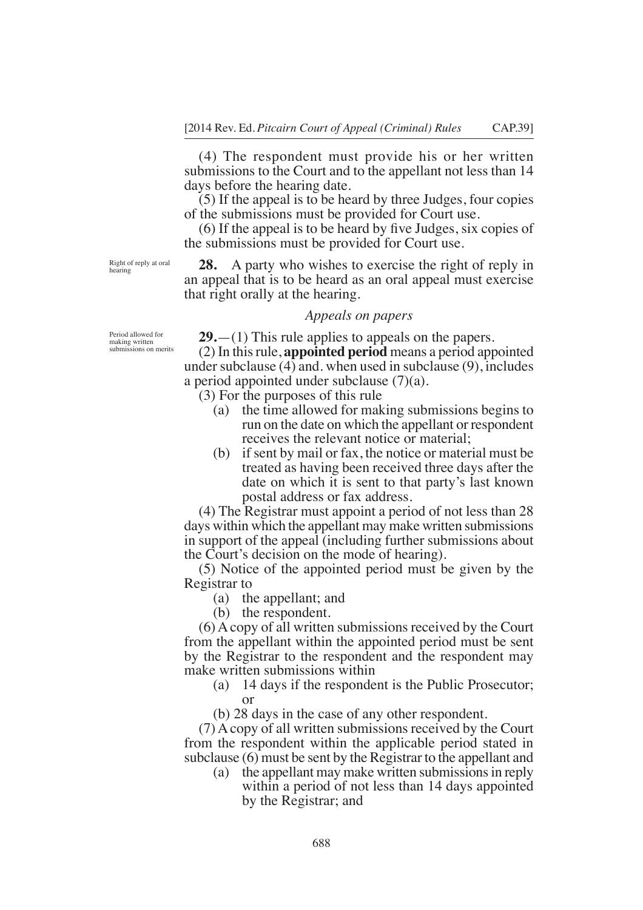(4) The respondent must provide his or her written submissions to the Court and to the appellant not less than 14 days before the hearing date.

(5) If the appeal is to be heard by three Judges, four copies of the submissions must be provided for Court use.

 $(6)$  If the appeal is to be heard by five Judges, six copies of the submissions must be provided for Court use.

**28.** A party who wishes to exercise the right of reply in an appeal that is to be heard as an oral appeal must exercise that right orally at the hearing.

## *Appeals on papers*

**29.**—(1) This rule applies to appeals on the papers.

(2) In this rule, **appointed period** means a period appointed under subclause (4) and. when used in subclause (9), includes a period appointed under subclause  $(7)(a)$ .

(3) For the purposes of this rule

- (a) the time allowed for making submissions begins to run on the date on which the appellant or respondent receives the relevant notice or material;
- (b) if sent by mail or fax, the notice or material must be treated as having been received three days after the date on which it is sent to that party's last known postal address or fax address.

(4) The Registrar must appoint a period of not less than 28 days within which the appellant may make written submissions in support of the appeal (including further submissions about the Court's decision on the mode of hearing).

(5) Notice of the appointed period must be given by the Registrar to

(a) the appellant; and

(b) the respondent.

(6) A copy of all written submissions received by the Court from the appellant within the appointed period must be sent by the Registrar to the respondent and the respondent may make written submissions within

- (a) 14 days if the respondent is the Public Prosecutor; or
- (b) 28 days in the case of any other respondent.

(7) A copy of all written submissions received by the Court from the respondent within the applicable period stated in subclause (6) must be sent by the Registrar to the appellant and

(a) the appellant may make written submissions in reply within a period of not less than 14 days appointed by the Registrar; and

Period allowed for making written submissions on merits

Right of reply at oral hearing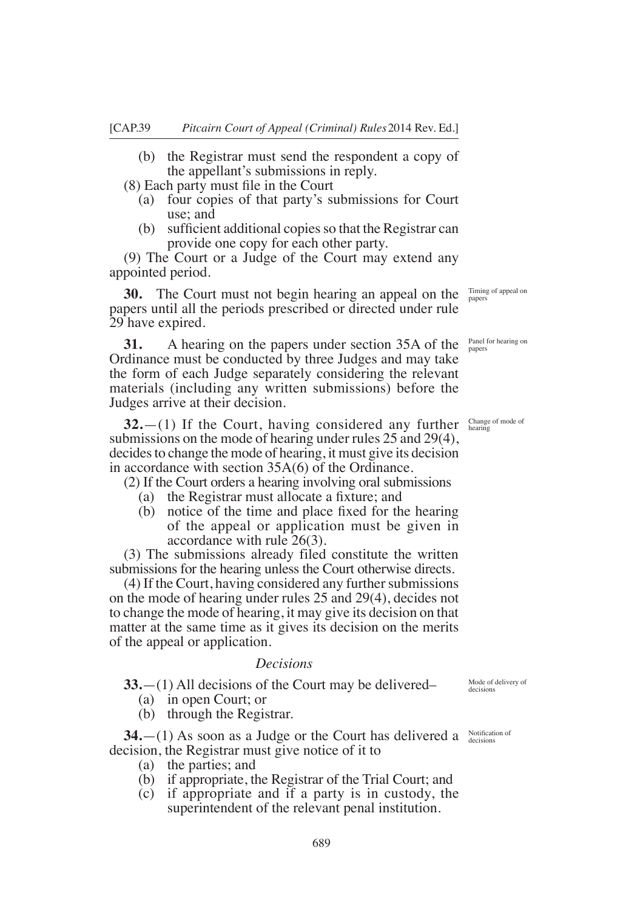- (b) the Registrar must send the respondent a copy of the appellant's submissions in reply.
- $(8)$  Each party must file in the Court
	- (a) four copies of that party's submissions for Court use; and
	- $(b)$  sufficient additional copies so that the Registrar can provide one copy for each other party.

(9) The Court or a Judge of the Court may extend any appointed period.

**30.** The Court must not begin hearing an appeal on the papers until all the periods prescribed or directed under rule 29 have expired.

**31.** A hearing on the papers under section 35A of the Ordinance must be conducted by three Judges and may take the form of each Judge separately considering the relevant materials (including any written submissions) before the Judges arrive at their decision.

**32.**—(1) If the Court, having considered any further submissions on the mode of hearing under rules 25 and 29(4), decides to change the mode of hearing, it must give its decision in accordance with section 35A(6) of the Ordinance.

(2) If the Court orders a hearing involving oral submissions

- (a) the Registrar must allocate a fixture; and
- (b) notice of the time and place fixed for the hearing of the appeal or application must be given in accordance with rule 26(3).

(3) The submissions already filed constitute the written submissions for the hearing unless the Court otherwise directs.

(4) If the Court, having considered any further submissions on the mode of hearing under rules 25 and 29(4), decides not to change the mode of hearing, it may give its decision on that matter at the same time as it gives its decision on the merits of the appeal or application.

## *Decisions*

**33.**—(1) All decisions of the Court may be delivered–

- (a) in open Court; or
- (b) through the Registrar.

**34.**—(1) As soon as a Judge or the Court has delivered a  $\frac{\text{Notification of}}{\text{decision of}}$ decision, the Registrar must give notice of it to

- (a) the parties; and
- (b) if appropriate, the Registrar of the Trial Court; and
- (c) if appropriate and if a party is in custody, the superintendent of the relevant penal institution.

Timing of appeal on papers

Panel for hearing on papers

Change of mode of hearing

Mode of delivery of decisions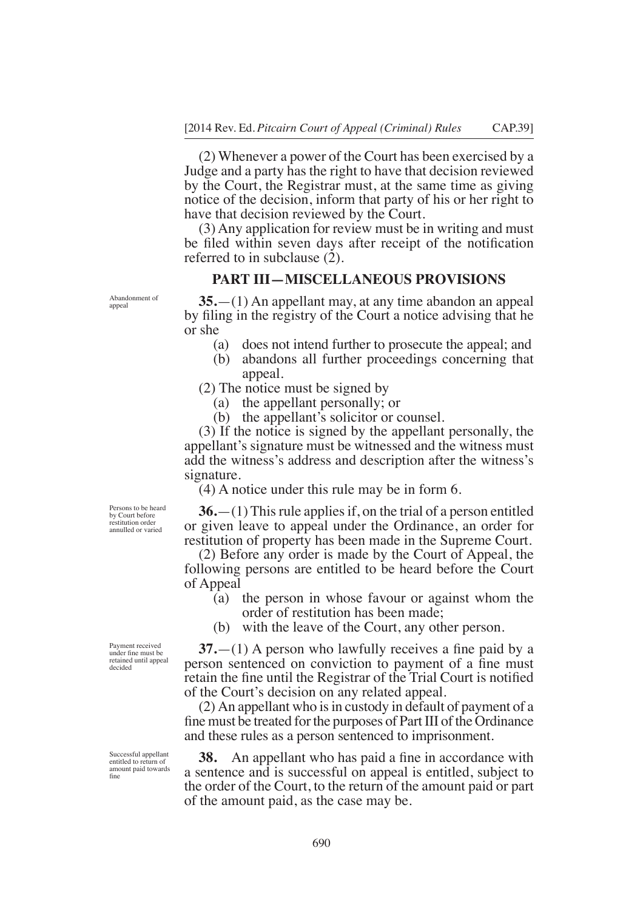(2) Whenever a power of the Court has been exercised by a Judge and a party has the right to have that decision reviewed by the Court, the Registrar must, at the same time as giving notice of the decision, inform that party of his or her right to have that decision reviewed by the Court.

(3) Any application for review must be in writing and must be filed within seven days after receipt of the notification referred to in subclause (2).

## **PART III—MISCELLANEOUS PROVISIONS**

**35.**—(1) An appellant may, at any time abandon an appeal by filing in the registry of the Court a notice advising that he or she

- (a) does not intend further to prosecute the appeal; and
- (b) abandons all further proceedings concerning that appeal.

(2) The notice must be signed by

(a) the appellant personally; or

(b) the appellant's solicitor or counsel.

(3) If the notice is signed by the appellant personally, the appellant's signature must be witnessed and the witness must add the witness's address and description after the witness's signature.

(4) A notice under this rule may be in form 6.

**36.**—(1) This rule applies if, on the trial of a person entitled or given leave to appeal under the Ordinance, an order for restitution of property has been made in the Supreme Court.

(2) Before any order is made by the Court of Appeal, the following persons are entitled to be heard before the Court of Appeal

- (a) the person in whose favour or against whom the order of restitution has been made;
- (b) with the leave of the Court, any other person.

**37.**—(1) A person who lawfully receives a fine paid by a person sentenced on conviction to payment of a fine must retain the fine until the Registrar of the Trial Court is notified of the Court's decision on any related appeal.

(2) An appellant who is in custody in default of payment of a fine must be treated for the purposes of Part III of the Ordinance and these rules as a person sentenced to imprisonment.

**38.** An appellant who has paid a fine in accordance with a sentence and is successful on appeal is entitled, subject to the order of the Court, to the return of the amount paid or part of the amount paid, as the case may be.

Persons to be heard by Court before restitution order annulled or varied

Payment received under fine must be retained until appeal decided

Successful appellant entitled to return of amount paid towards fine

Abandonment of appeal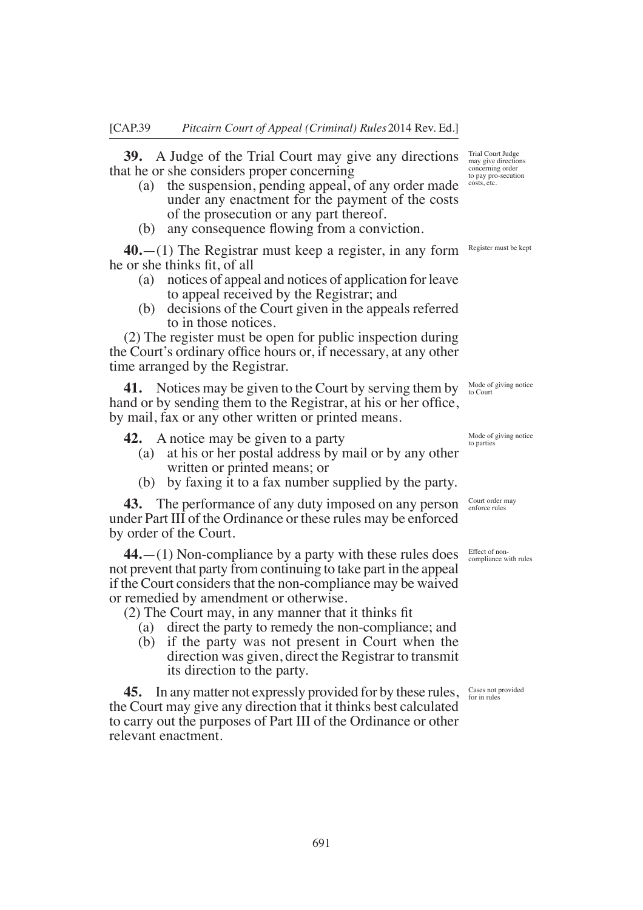**39.** A Judge of the Trial Court may give any directions that he or she considers proper concerning

- (a) the suspension, pending appeal, of any order made under any enactment for the payment of the costs of the prosecution or any part thereof.
- $(b)$  any consequence flowing from a conviction.

**40.**—(1) The Registrar must keep a register, in any form he or she thinks fit, of all

- (a) notices of appeal and notices of application for leave to appeal received by the Registrar; and
- (b) decisions of the Court given in the appeals referred to in those notices.

(2) The register must be open for public inspection during the Court's ordinary office hours or, if necessary, at any other time arranged by the Registrar.

**41.** Notices may be given to the Court by serving them by hand or by sending them to the Registrar, at his or her office, by mail, fax or any other written or printed means.

**42.** A notice may be given to a party

- (a) at his or her postal address by mail or by any other written or printed means; or
- (b) by faxing it to a fax number supplied by the party.

**43.** The performance of any duty imposed on any person under Part III of the Ordinance or these rules may be enforced by order of the Court.

**44.**—(1) Non-compliance by a party with these rules does not prevent that party from continuing to take part in the appeal if the Court considers that the non-compliance may be waived or remedied by amendment or otherwise.

 $(2)$  The Court may, in any manner that it thinks fit

- (a) direct the party to remedy the non-compliance; and
- (b) if the party was not present in Court when the direction was given, direct the Registrar to transmit its direction to the party.

**45.** In any matter not expressly provided for by these rules, the Court may give any direction that it thinks best calculated to carry out the purposes of Part III of the Ordinance or other relevant enactment.

Trial Court Judge may give directions concerning order to pay pro-secution costs, etc.

Register must be kept

Mode of giving notice to Court

Mode of giving notice to parties

Court order may enforce rules

Effect of non-compliance with rules

Cases not provided for in rules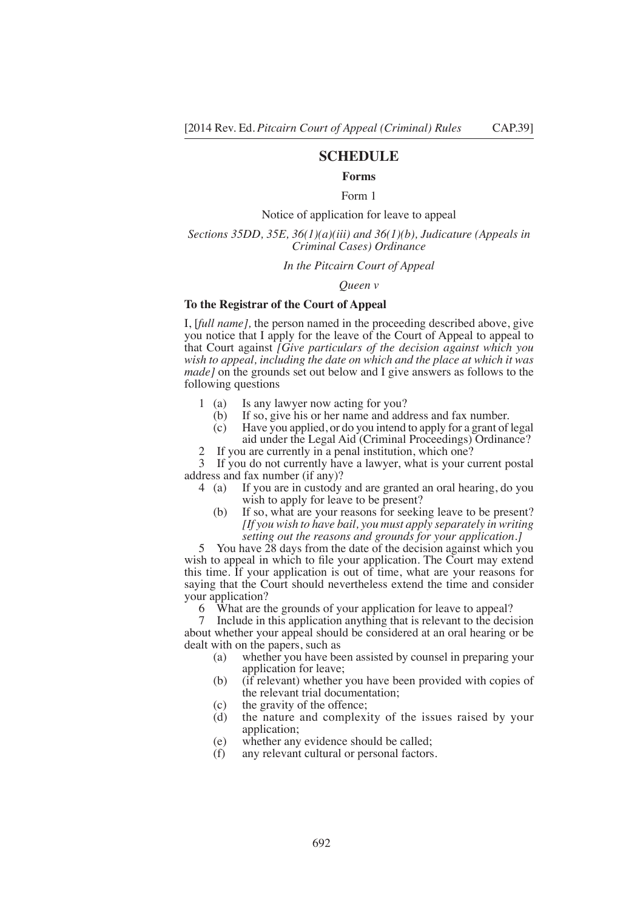### **SCHEDULE**

## **Forms**

## Form 1

#### Notice of application for leave to appeal

### *Sections 35DD, 35E, 36(1)(a)(iii) and 36(1)(b), Judicature (Appeals in Criminal Cases) Ordinance*

#### *In the Pitcairn Court of Appeal*

#### *Queen v*

### **To the Registrar of the Court of Appeal**

I, [*full name],* the person named in the proceeding described above, give you notice that I apply for the leave of the Court of Appeal to appeal to that Court against *[Give particulars of the decision against which you wish to appeal, including the date on which and the place at which it was made]* on the grounds set out below and I give answers as follows to the following questions

- 1 (a) Is any lawyer now acting for you?
	- (b) If so, give his or her name and address and fax number.
	- (c) Have you applied, or do you intend to apply for a grant of legal aid under the Legal Aid (Criminal Proceedings) Ordinance?
- 2 If you are currently in a penal institution, which one?

3 If you do not currently have a lawyer, what is your current postal address and fax number (if any)?

- 4 (a) If you are in custody and are granted an oral hearing, do you wish to apply for leave to be present?
	- (b) If so, what are your reasons for seeking leave to be present? *[If you wish to have bail, you must apply separately in writing setting out the reasons and grounds for your application.]*

5 You have  $\tilde{28}$  days from the date of the decision against which you wish to appeal in which to file your application. The Court may extend this time. If your application is out of time, what are your reasons for saying that the Court should nevertheless extend the time and consider your application?

6 What are the grounds of your application for leave to appeal?

7 Include in this application anything that is relevant to the decision about whether your appeal should be considered at an oral hearing or be dealt with on the papers, such as

- (a) whether you have been assisted by counsel in preparing your application for leave;
- (b) (if relevant) whether you have been provided with copies of the relevant trial documentation;
- (c) the gravity of the offence;
- (d) the nature and complexity of the issues raised by your application;
- (e) whether any evidence should be called;
- (f) any relevant cultural or personal factors.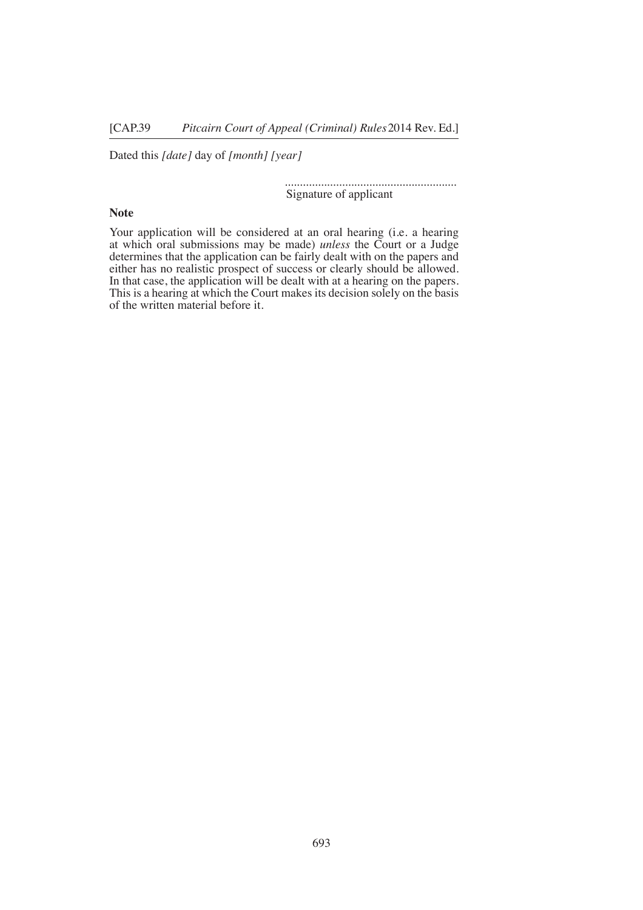Dated this *[date]* day of *[month] [year]*

......................................................... Signature of applicant

## **Note**

Your application will be considered at an oral hearing (i.e. a hearing at which oral submissions may be made) *unless* the Court or a Judge determines that the application can be fairly dealt with on the papers and either has no realistic prospect of success or clearly should be allowed. In that case, the application will be dealt with at a hearing on the papers. This is a hearing at which the Court makes its decision solely on the basis of the written material before it.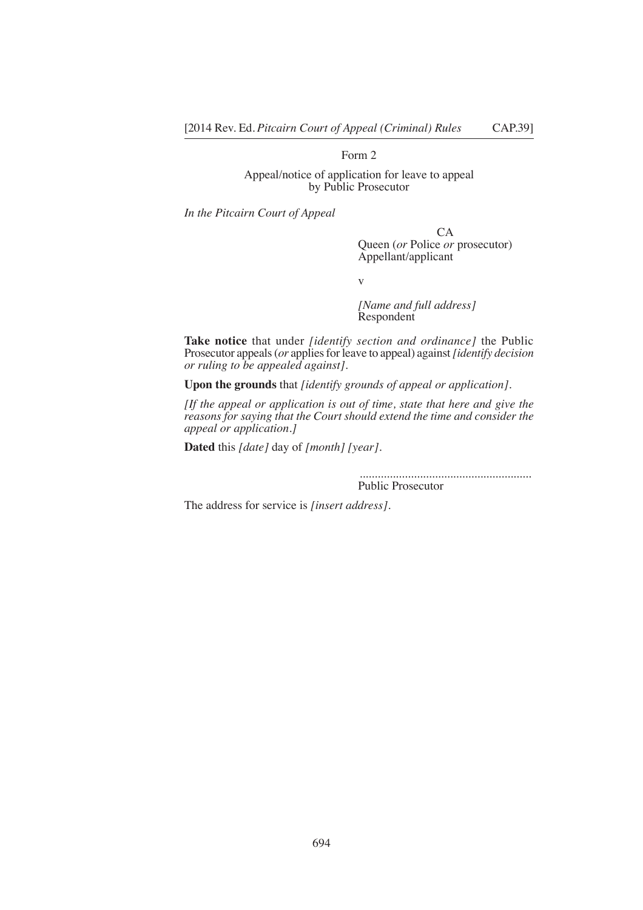Appeal/notice of application for leave to appeal by Public Prosecutor

*In the Pitcairn Court of Appeal* 

CA Queen (*or* Police *or* prosecutor) Appellant/applicant

v

*[Name and full address]* Respondent

**Take notice** that under *[identify section and ordinance]* the Public Prosecutor appeals (*or* applies for leave to appeal) against *[identify decision or ruling to be appealed against].*

**Upon the grounds** that *[identify grounds of appeal or application].*

*[If the appeal or application is out of time, state that here and give the reasons for saying that the Court should extend the time and consider the appeal or application.]*

**Dated** this *[date]* day of *[month] [year].*

......................................................... Public Prosecutor

The address for service is *[insert address].*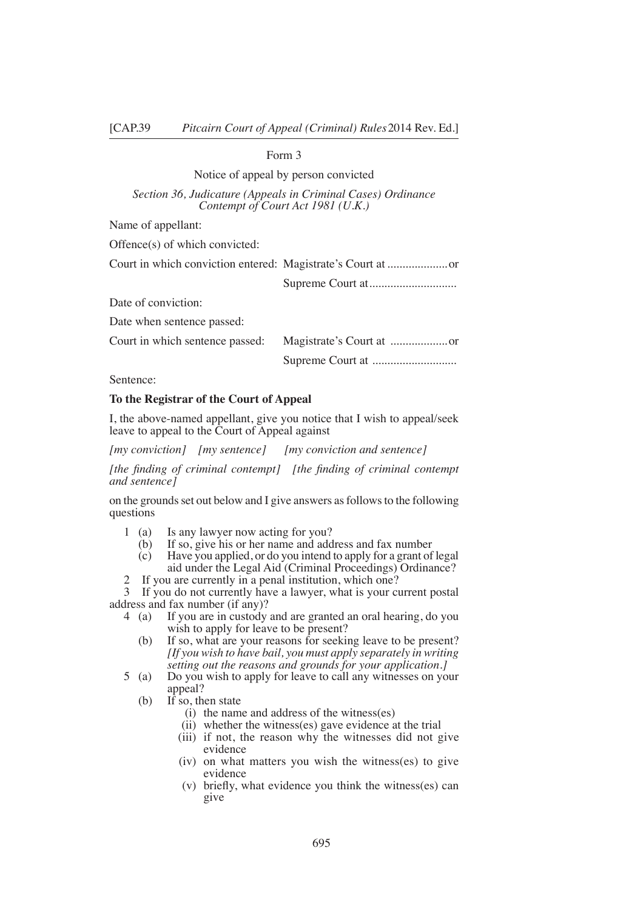### Notice of appeal by person convicted

### *Section 36, Judicature (Appeals in Criminal Cases) Ordinance Contempt of Court Act 1981 (U.K.)*

Name of appellant:

Offence(s) of which convicted:

Date of conviction:

Date when sentence passed:

Court in which sentence passed: Magistrate's Court at ...................or

Supreme Court at ............................

Sentence:

### **To the Registrar of the Court of Appeal**

I, the above-named appellant, give you notice that I wish to appeal/seek leave to appeal to the Court of Appeal against

*[my conviction] [my sentence] [my conviction and sentence]* 

*[the fnding of criminal contempt] [the fnding of criminal contempt and sentence]*

on the grounds set out below and I give answers as follows to the following questions

- 1 (a) Is any lawyer now acting for you?
	- (b) If so, give his or her name and address and fax number
	- (c) Have you applied, or do you intend to apply for a grant of legal aid under the Legal Aid (Criminal Proceedings) Ordinance?
- 2 If you are currently in a penal institution, which one?

3 If you do not currently have a lawyer, what is your current postal address and fax number (if any)?

- 4 (a) If you are in custody and are granted an oral hearing, do you wish to apply for leave to be present?
	- (b) If so, what are your reasons for seeking leave to be present? *[If you wish to have bail, you must apply separately in writing setting out the reasons and grounds for your application.]*
- 5 (a) Do you wish to apply for leave to call any witnesses on your appeal?
	- (b) If so, then state
		- (i) the name and address of the witness(es)
		- (ii) whether the witness(es) gave evidence at the trial
		- (iii) if not, the reason why the witnesses did not give evidence
		- (iv) on what matters you wish the witness(es) to give evidence
		- (v) briefly, what evidence you think the witness(es) can give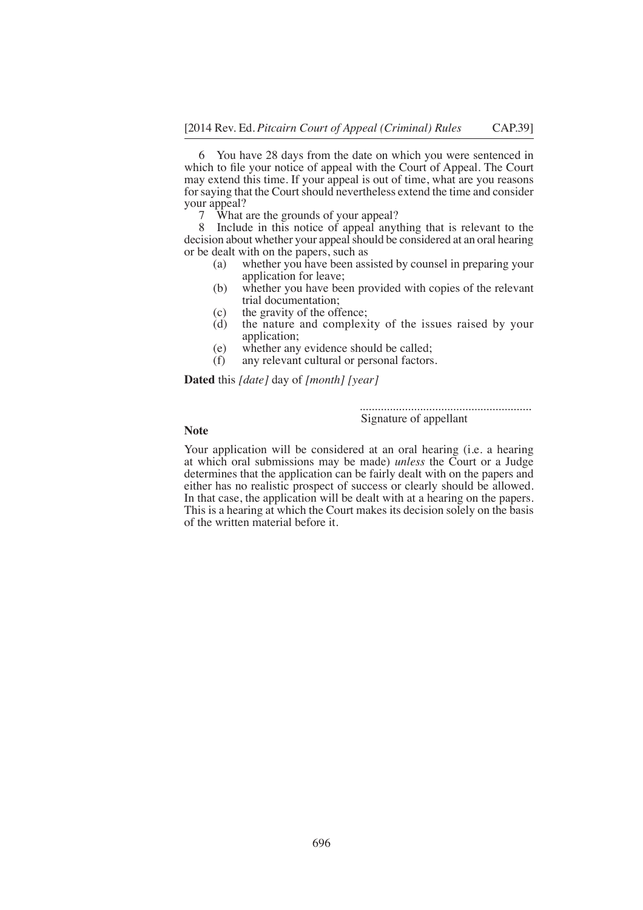6 You have 28 days from the date on which you were sentenced in which to file your notice of appeal with the Court of Appeal. The Court may extend this time. If your appeal is out of time, what are you reasons for saying that the Court should nevertheless extend the time and consider your appeal?

7 What are the grounds of your appeal?

8 Include in this notice of appeal anything that is relevant to the decision about whether your appeal should be considered at an oral hearing or be dealt with on the papers, such as

- (a) whether you have been assisted by counsel in preparing your application for leave;
- (b) whether you have been provided with copies of the relevant trial documentation;
- (c) the gravity of the offence;
- (d) the nature and complexity of the issues raised by your application;
- (e) whether any evidence should be called;
- (f) any relevant cultural or personal factors.

**Dated** this *[date]* day of *[month] [year]*

#### ......................................................... Signature of appellant

#### **Note**

Your application will be considered at an oral hearing (i.e. a hearing at which oral submissions may be made) *unless* the Court or a Judge determines that the application can be fairly dealt with on the papers and either has no realistic prospect of success or clearly should be allowed. In that case, the application will be dealt with at a hearing on the papers. This is a hearing at which the Court makes its decision solely on the basis of the written material before it.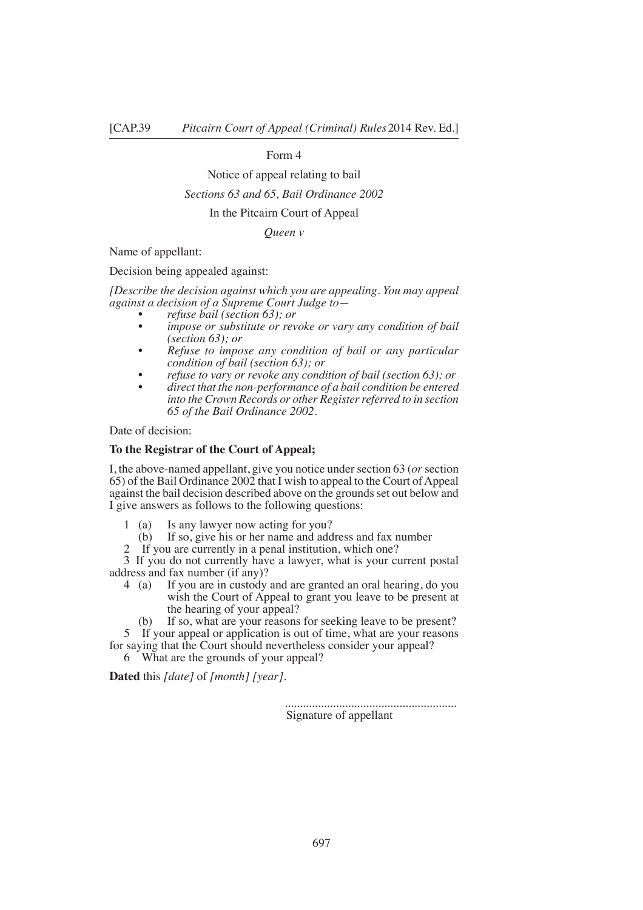### Notice of appeal relating to bail

### *Sections 63 and 65, Bail Ordinance 2002*

#### In the Pitcairn Court of Appeal

#### *Queen v*

#### Name of appellant:

Decision being appealed against:

*[Describe the decision against which you are appealing. You may appeal against a decision of a Supreme Court Judge to—*

- 
- *• refuse bail (section 63); or • impose or substitute or revoke or vary any condition of bail (section 63); or*
- *• Refuse to impose any condition of bail or any particular condition of bail (section 63); or*
- *• refuse to vary or revoke any condition of bail (section 63); or*
- *• direct that the non-performance of a bail condition be entered into the Crown Records or other Register referred to in section 65 of the Bail Ordinance 2002.*

Date of decision:

### **To the Registrar of the Court of Appeal;**

I, the above-named appellant, give you notice under section 63 (*or* section 65) of the Bail Ordinance 2002 that I wish to appeal to the Court of Appeal against the bail decision described above on the grounds set out below and I give answers as follows to the following questions:

- 1 (a) Is any lawyer now acting for you?
- (b) If so, give his or her name and address and fax number
- 2 If you are currently in a penal institution, which one?

3 If you do not currently have a lawyer, what is your current postal address and fax number (if any)?

- 4 (a) If you are in custody and are granted an oral hearing, do you wish the Court of Appeal to grant you leave to be present at the hearing of your appeal?
	- (b) If so, what are your reasons for seeking leave to be present?

5 If your appeal or application is out of time, what are your reasons for saying that the Court should nevertheless consider your appeal?

6 What are the grounds of your appeal?

**Dated** this *[date]* of *[month] [year].*

......................................................... Signature of appellant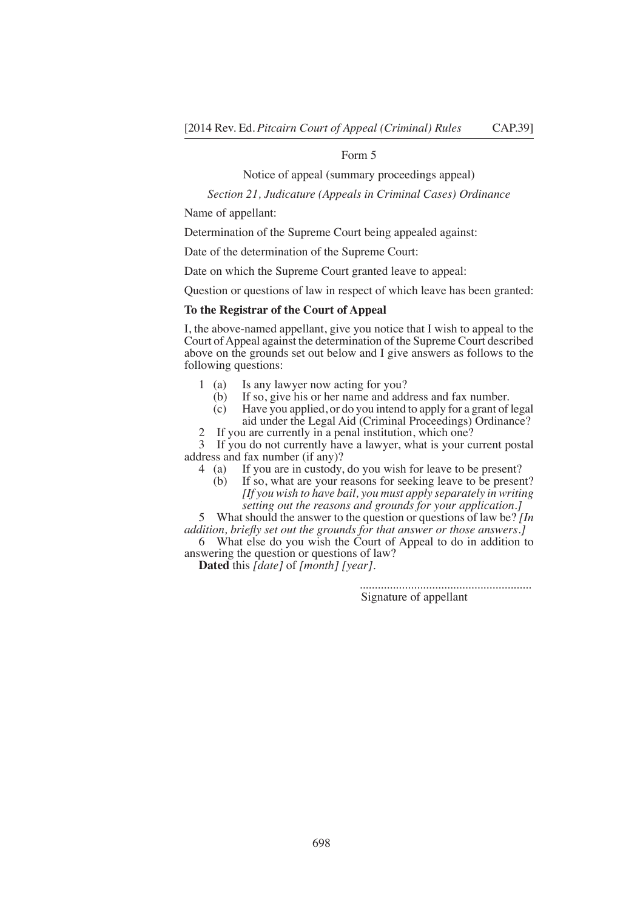Notice of appeal (summary proceedings appeal)

*Section 21, Judicature (Appeals in Criminal Cases) Ordinance*

Name of appellant:

Determination of the Supreme Court being appealed against:

Date of the determination of the Supreme Court:

Date on which the Supreme Court granted leave to appeal:

Question or questions of law in respect of which leave has been granted:

#### **To the Registrar of the Court of Appeal**

I, the above-named appellant, give you notice that I wish to appeal to the Court of Appeal against the determination of the Supreme Court described above on the grounds set out below and I give answers as follows to the following questions:

- 1 (a) Is any lawyer now acting for you?<br>
(b) If so, give his or her name and add
	- (b) If so, give his or her name and address and fax number.<br>(c) Have you applied, or do you intend to apply for a grant of
	- Have you applied, or do you intend to apply for a grant of legal aid under the Legal Aid (Criminal Proceedings) Ordinance?
- 2 If you are currently in a penal institution, which one?

3 If you do not currently have a lawyer, what is your current postal address and fax number (if any)?

- 4 (a) If you are in custody, do you wish for leave to be present?
	- (b) If so, what are your reasons for seeking leave to be present? *[If you wish to have bail, you must apply separately in writing setting out the reasons and grounds for your application.]*

5 What should the answer to the question or questions of law be? *[In addition, briefy set out the grounds for that answer or those answers.]*

6 What else do you wish the Court of Appeal to do in addition to answering the question or questions of law?

**Dated** this *[date]* of *[month] [year].*

......................................................... Signature of appellant